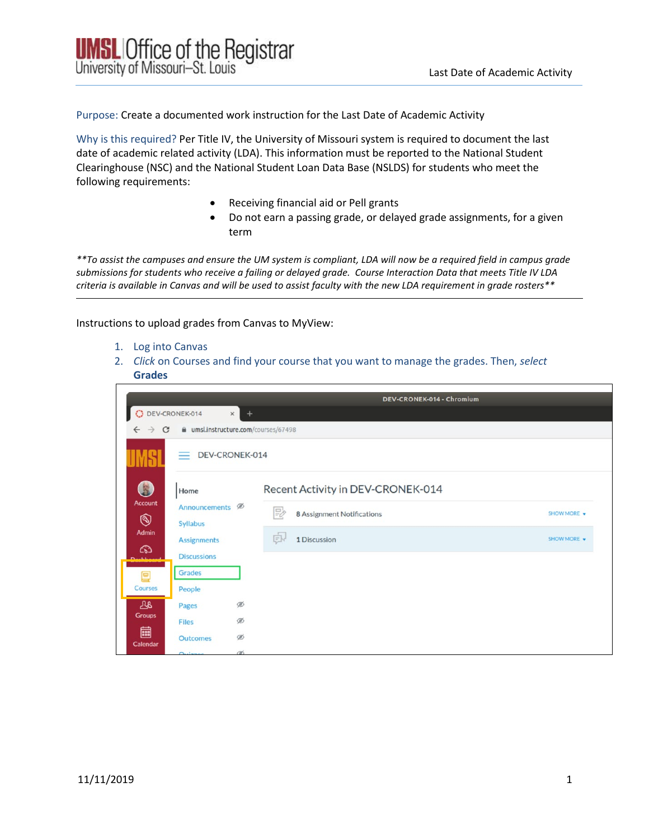Purpose: Create a documented work instruction for the Last Date of Academic Activity

Why is this required? Per Title IV, the University of Missouri system is required to document the last date of academic related activity (LDA). This information must be reported to the National Student Clearinghouse (NSC) and the National Student Loan Data Base (NSLDS) for students who meet the following requirements:

- Receiving financial aid or Pell grants
- Do not earn a passing grade, or delayed grade assignments, for a given term

*\*\*To assist the campuses and ensure the UM system is compliant, LDA will now be a required field in campus grade submissions for students who receive a failing or delayed grade. Course Interaction Data that meets Title IV LDA criteria is available in Canvas and will be used to assist faculty with the new LDA requirement in grade rosters\*\**

Instructions to upload grades from Canvas to MyView:

- 1. Log into Canvas
- 2. *Click* on Courses and find your course that you want to manage the grades. Then, *select*  **Grades**

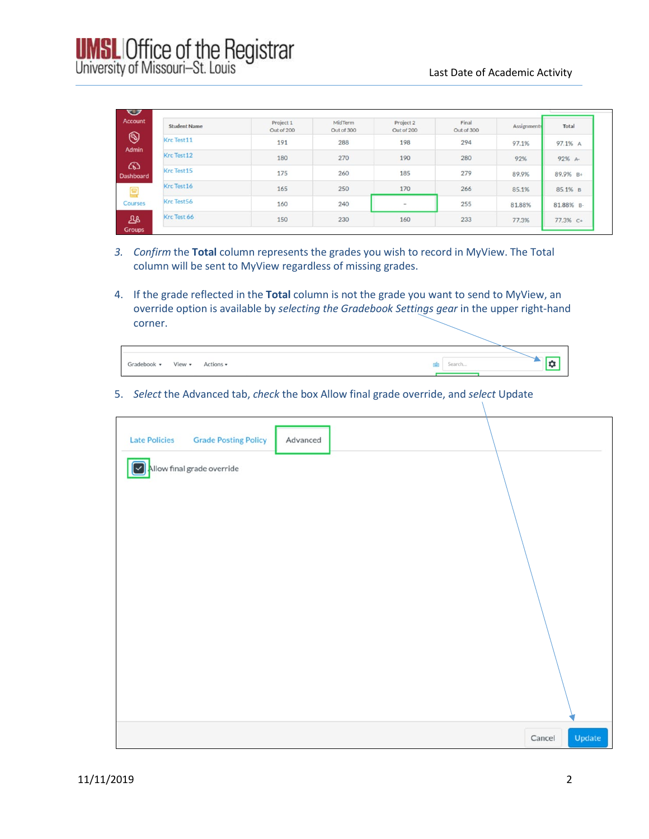| Account               | <b>Student Name</b> | Project 1<br>Out of 200 | MidTerm<br>Out of 300 | Project 2<br>Out of 200 | Final<br>Out of 300 | Assignments | Total     |
|-----------------------|---------------------|-------------------------|-----------------------|-------------------------|---------------------|-------------|-----------|
| $\circledS$           | Krc Test11          | 191                     | 288                   | 198                     | 294                 | 97.1%       | 97.1% A   |
| Admin                 | Krc Test12          | 180                     | 270                   | 190                     | 280                 | 92%         | 92% A-    |
| ෬<br><b>Dashboard</b> | Krc Test15          | 175                     | 260                   | 185                     | 279                 | 89.9%       | 89.9% B+  |
|                       | Krc Test16          | 165                     | 250                   | 170                     | 266                 | 85.1%       | 85.1% B   |
| Courses               | Krc Test56          | 160                     | 240                   | $\sim$                  | 255                 | 81.88%      | 81.88% B- |
| ঞ                     | Krc Test 66         | 150                     | 230                   | 160                     | 233                 | 77.3%       | 77.3% C+  |

- *3. Confirm* the **Total** column represents the grades you wish to record in MyView. The Total column will be sent to MyView regardless of missing grades.
- 4. If the grade reflected in the **Total** column is not the grade you want to send to MyView, an override option is available by *selecting the Gradebook Settings gear* in the upper right-hand corner.

| View •<br>Gradebook | Actions v | Search |
|---------------------|-----------|--------|
|                     |           |        |

5. *Select* the Advanced tab, *check* the box Allow final grade override, and *select* Update

| <b>Late Policies</b> | <b>Grade Posting Policy</b> | Advanced |                  |
|----------------------|-----------------------------|----------|------------------|
|                      | Allow final grade override  |          |                  |
|                      |                             |          |                  |
|                      |                             |          |                  |
|                      |                             |          |                  |
|                      |                             |          |                  |
|                      |                             |          |                  |
|                      |                             |          |                  |
|                      |                             |          | Update<br>Cancel |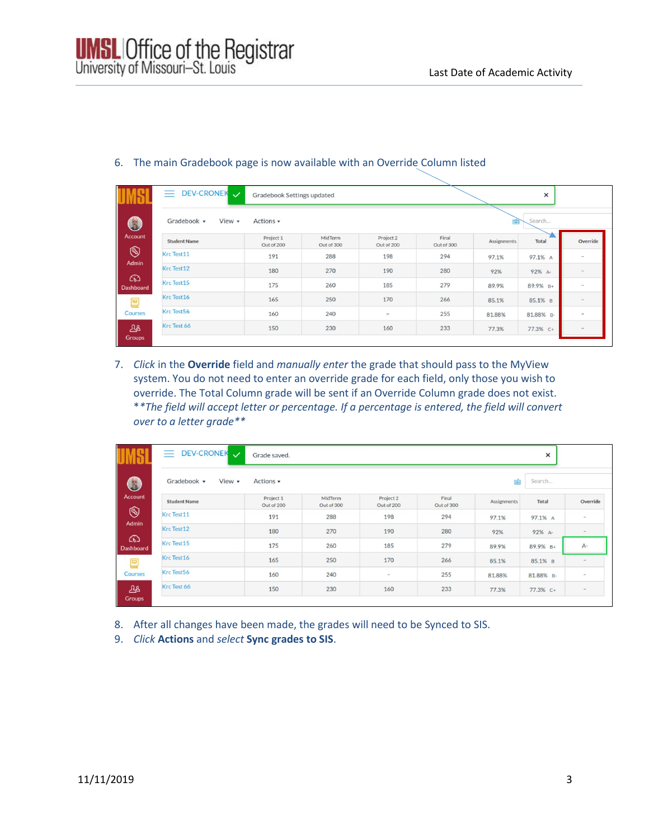|                             | DEV-CRONEK V<br>三           | Gradebook Settings updated |                       |                          |                     |             | ×            |                          |
|-----------------------------|-----------------------------|----------------------------|-----------------------|--------------------------|---------------------|-------------|--------------|--------------------------|
| 3                           | Gradebook v<br>View $\star$ | Actions v                  |                       |                          |                     | 圗           | Search       |                          |
| <b>Account</b>              | <b>Student Name</b>         | Project 1<br>Out of 200    | MidTerm<br>Out of 300 | Project 2<br>Out of 200  | Final<br>Out of 300 | Assignments | <b>Total</b> | Override                 |
| $\circledS$<br><b>Admin</b> | Krc Test11                  | 191                        | 288                   | 198                      | 294                 | 97.1%       | 97.1% A      | -                        |
|                             | Krc Test12                  | 180                        | 270                   | 190                      | 280                 | 92%         | 92% A-       | $\overline{\phantom{a}}$ |
| ෬<br><b>Dashboard</b>       | Krc Test15                  | 175                        | 260                   | 185                      | 279                 | 89.9%       | 89.9% B+     | $\overline{\phantom{a}}$ |
| ▤                           | Krc Test16                  | 165                        | 250                   | 170                      | 266                 | 85.1%       | 85.1% B      |                          |
| Courses                     | Krc Test56                  | 160                        | 240                   | $\overline{\phantom{m}}$ | 255                 | 81.88%      | 81.88% B-    | $\overline{\phantom{a}}$ |
| 28                          | Krc Test 66                 | 150                        | 230                   | 160                      | 233                 | 77.3%       | 77.3% C+     |                          |
| <b>Groups</b>               |                             |                            |                       |                          |                     |             |              |                          |

## 6. The main Gradebook page is now available with an Override Column listed

7. *Click* in the **Override** field and *manually enter* the grade that should pass to the MyView system. You do not need to enter an override grade for each field, only those you wish to override. The Total Column grade will be sent if an Override Column grade does not exist. \**\*The field will accept letter or percentage. If a percentage is entered, the field will convert over to a letter grade\*\**

| Ξ.                                    | DEV-CRONEK<br>Grade saved. |                       |                          |                     |             | $\times$  |               |
|---------------------------------------|----------------------------|-----------------------|--------------------------|---------------------|-------------|-----------|---------------|
| 3<br>Gradebook v                      | View $\star$<br>Actions •  |                       |                          |                     | 画           | Search    |               |
| <b>Account</b><br><b>Student Name</b> | Project 1<br>Out of 200    | MidTerm<br>Out of 300 | Project 2<br>Out of 200  | Final<br>Out of 300 | Assignments | Total     | Override      |
| $\circledS$<br>Krc Test11<br>Admin    | 191                        | 288                   | 198                      | 294                 | 97.1%       | 97.1% A   | $\sim$        |
| Krc Test12                            | 180                        | 270                   | 190                      | 280                 | 92%         | 92% A-    | $\,$          |
| Krc Test15<br><b>Dashboard</b>        | 175                        | 260                   | 185                      | 279                 | 89.9%       | 89.9% B+  | $A -$         |
| Krc Test16                            | 165                        | 250                   | 170                      | 266                 | 85.1%       | 85.1% B   | $\frac{1}{2}$ |
| Krc Test56                            | 160                        | 240                   | $\overline{\phantom{a}}$ | 255                 | 81.88%      | 81.88% B- | $\sim$        |
| Krc Test 66                           | 150                        | 230                   | 160                      | 233                 | 77.3%       | 77.3% C+  | $\frac{1}{2}$ |

8. After all changes have been made, the grades will need to be Synced to SIS.

9. *Click* **Actions** and *select* **Sync grades to SIS**.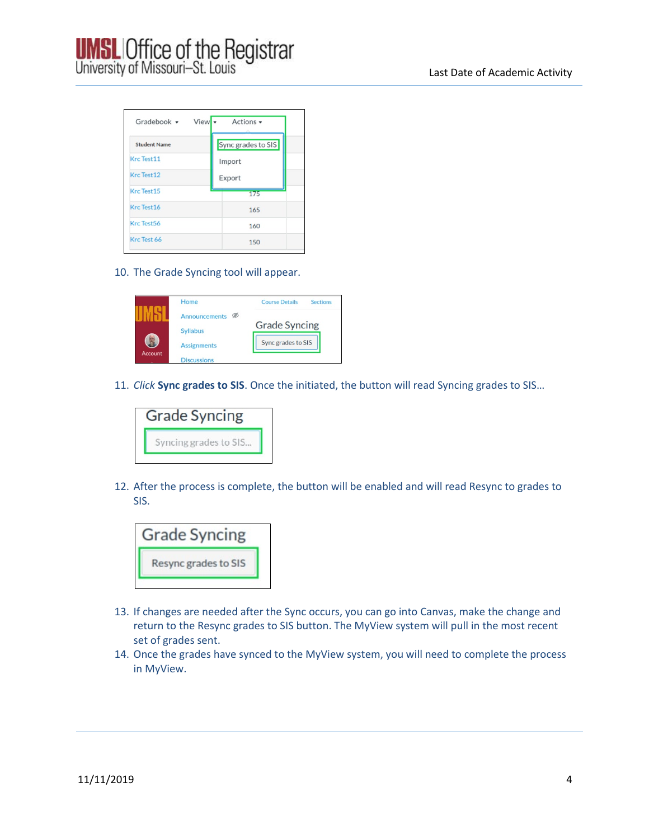

| View<br>Gradebook $\blacktriangledown$ | Actions v          |
|----------------------------------------|--------------------|
| <b>Student Name</b>                    | Sync grades to SIS |
| Krc Test11                             | Import             |
| Krc Test 12                            | Export             |
| Krc Test15                             | 175                |
| Krc Test16                             | 165                |
| Krc Test56                             | 160                |
| Krc Test 66                            | 150                |

10. The Grade Syncing tool will appear.



11. *Click* **Sync grades to SIS**. Once the initiated, the button will read Syncing grades to SIS…



12. After the process is complete, the button will be enabled and will read Resync to grades to SIS.



- 13. If changes are needed after the Sync occurs, you can go into Canvas, make the change and return to the Resync grades to SIS button. The MyView system will pull in the most recent set of grades sent.
- 14. Once the grades have synced to the MyView system, you will need to complete the process in MyView.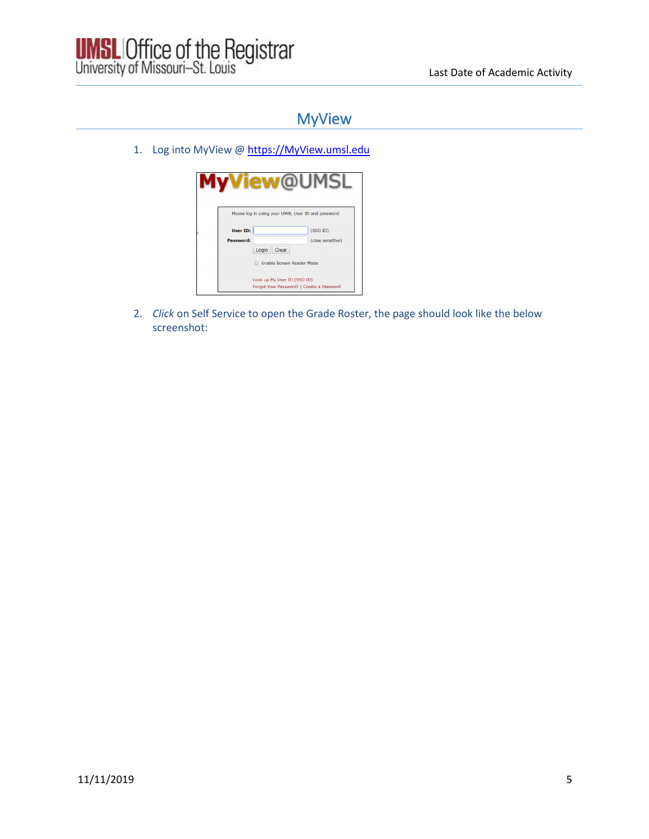

## MyView

1. Log into MyView [@ https://MyView.umsl.edu](https://myview.umsl.edu/)

|           | Please log in using your UMSL User ID and password:                      |                  |
|-----------|--------------------------------------------------------------------------|------------------|
| User ID:  |                                                                          | (SSO ID)         |
| Password: | Login<br>Clear                                                           | (case sensitive) |
|           | Enable Screen Reader Mode                                                |                  |
|           | Look up My User ID (SSO ID)<br>Forgot Your Password?   Create a Password |                  |

2. *Click* on Self Service to open the Grade Roster, the page should look like the below screenshot: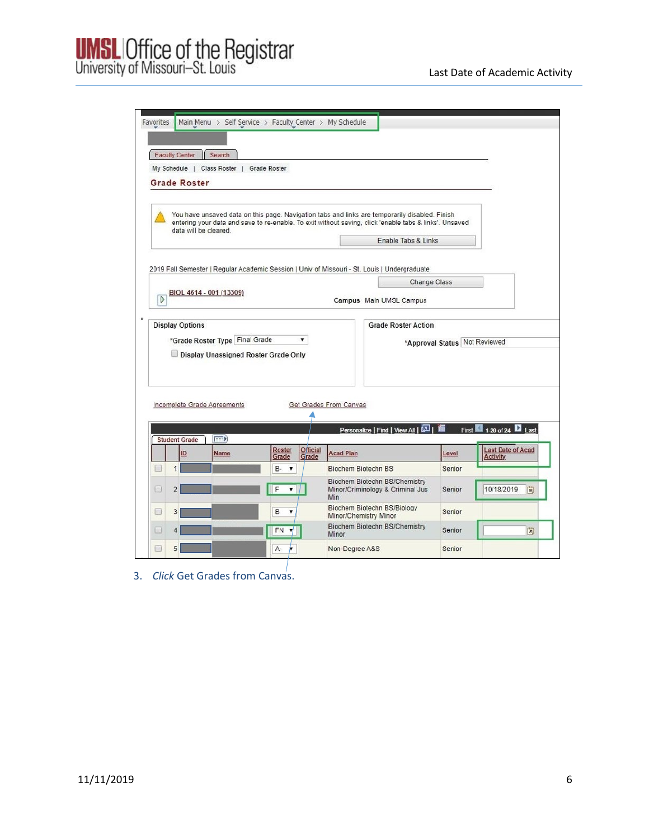## **UMSL** Office of the Registrar<br>University of Missouri-St. Louis

|                  | <b>Faculty Center</b> | Search                                                                 |                                     |          |                                                                                                                                                                                                          |                     |                               |                          |    |
|------------------|-----------------------|------------------------------------------------------------------------|-------------------------------------|----------|----------------------------------------------------------------------------------------------------------------------------------------------------------------------------------------------------------|---------------------|-------------------------------|--------------------------|----|
|                  |                       | My Schedule   Class Roster   Grade Roster                              |                                     |          |                                                                                                                                                                                                          |                     |                               |                          |    |
|                  | <b>Grade Roster</b>   |                                                                        |                                     |          |                                                                                                                                                                                                          |                     |                               |                          |    |
|                  |                       |                                                                        |                                     |          |                                                                                                                                                                                                          |                     |                               |                          |    |
|                  |                       | data will be cleared.                                                  |                                     |          | You have unsaved data on this page. Navigation tabs and links are temporarily disabled. Finish<br>entering your data and save to re-enable. To exit without saving, click 'enable tabs & links'. Unsaved |                     |                               |                          |    |
|                  |                       |                                                                        |                                     |          |                                                                                                                                                                                                          | Enable Tabs & Links |                               |                          |    |
|                  |                       |                                                                        |                                     |          |                                                                                                                                                                                                          |                     |                               |                          |    |
|                  |                       |                                                                        |                                     |          | 2019 Fall Semester   Regular Academic Session   Univ of Missouri - St. Louis   Undergraduate                                                                                                             |                     |                               |                          |    |
|                  |                       |                                                                        |                                     |          |                                                                                                                                                                                                          | Change Class        |                               |                          |    |
| $\triangleright$ |                       | BIOL 4614 - 001 (13309)                                                |                                     |          | Campus Main UMSL Campus                                                                                                                                                                                  |                     |                               |                          |    |
|                  |                       |                                                                        |                                     |          |                                                                                                                                                                                                          |                     |                               |                          |    |
|                  |                       | *Grade Roster Type Final Grade<br>Display Unassigned Roster Grade Only |                                     | ۷.       |                                                                                                                                                                                                          |                     | *Approval Status Not Reviewed |                          |    |
|                  |                       | Incomplete Grade Agreements                                            |                                     |          | Get Grades From Canvas                                                                                                                                                                                   |                     |                               |                          |    |
|                  |                       |                                                                        |                                     |          |                                                                                                                                                                                                          |                     |                               |                          |    |
|                  | <b>Student Grade</b>  | <b>EEEA</b>                                                            |                                     |          | Personalize   Find   View All   2   1                                                                                                                                                                    |                     |                               | First 1-20 of 24 2 Last  |    |
|                  | ID                    | Name                                                                   | Roster                              | Official | <b>Acad Plan</b>                                                                                                                                                                                         |                     | Level                         | <b>Last Date of Acad</b> |    |
| B                | $\mathbf{1}$          |                                                                        | Grade<br>B-<br>$\blacktriangledown$ | Grade    | <b>Biochem Biotechn BS</b>                                                                                                                                                                               |                     | Senior                        | <b>Activity</b>          |    |
| B                | $\overline{2}$        |                                                                        | F<br>$\mathbf{v}$                   |          | Biochem Biotechn BS/Chemistry<br>Minor/Criminology & Criminal Jus<br>Min                                                                                                                                 |                     | Senior                        | 10/18/2019               | H  |
| ⊟                | 3                     |                                                                        | B<br>$\pmb{\mathrm{v}}$             |          | Biochem Biotechn BS/Biology                                                                                                                                                                              |                     | Senior                        |                          |    |
| u                | 4                     |                                                                        | FN<br>▼                             |          | Minor/Chemistry Minor<br>Biochem Biotechn BS/Chemistry<br>Minor                                                                                                                                          |                     | Senior                        |                          | 31 |

3. *Click* Get Grades from Canvas.